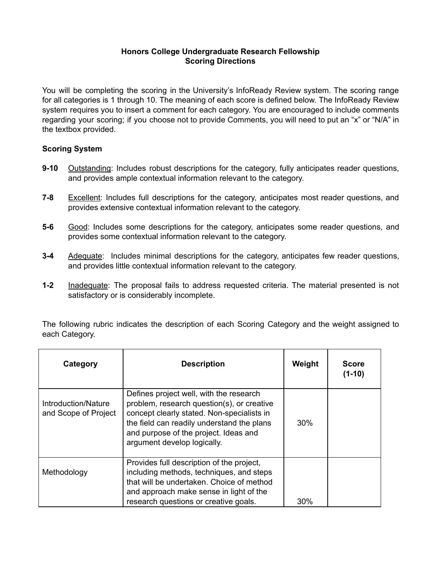## **Honors College Undergraduate Research Fellowship Scoring Directions**

You will be completing the scoring in the University's InfoReady Review system. The scoring range for all categories is 1 through 10. The meaning of each score is defined below. The InfoReady Review system requires you to insert a comment for each category. You are encouraged to include comments regarding your scoring; if you choose not to provide Comments, you will need to put an "x" or "N/A" in the textbox provided.

## **Scoring System**

- **9-10** Outstanding: Includes robust descriptions for the category, fully anticipates reader questions, and provides ample contextual information relevant to the category.
- **7-8** Excellent: Includes full descriptions for the category, anticipates most reader questions, and provides extensive contextual information relevant to the category.
- **5-6** Good: Includes some descriptions for the category, anticipates some reader questions, and provides some contextual information relevant to the category.
- **3-4** Adequate: Includes minimal descriptions for the category, anticipates few reader questions, and provides little contextual information relevant to the category.
- **1-2** Inadequate: The proposal fails to address requested criteria. The material presented is not satisfactory or is considerably incomplete.

The following rubric indicates the description of each Scoring Category and the weight assigned to each Category.

| Category                                    | <b>Description</b>                                                                                                                                                                                                                                        | Weight | <b>Score</b><br>$(1-10)$ |
|---------------------------------------------|-----------------------------------------------------------------------------------------------------------------------------------------------------------------------------------------------------------------------------------------------------------|--------|--------------------------|
| Introduction/Nature<br>and Scope of Project | Defines project well, with the research<br>problem, research question(s), or creative<br>concept clearly stated. Non-specialists in<br>the field can readily understand the plans<br>and purpose of the project. Ideas and<br>argument develop logically. | 30%    |                          |
| Methodology                                 | Provides full description of the project,<br>including methods, techniques, and steps<br>that will be undertaken. Choice of method<br>and approach make sense in light of the<br>research questions or creative goals.                                    | 30%    |                          |